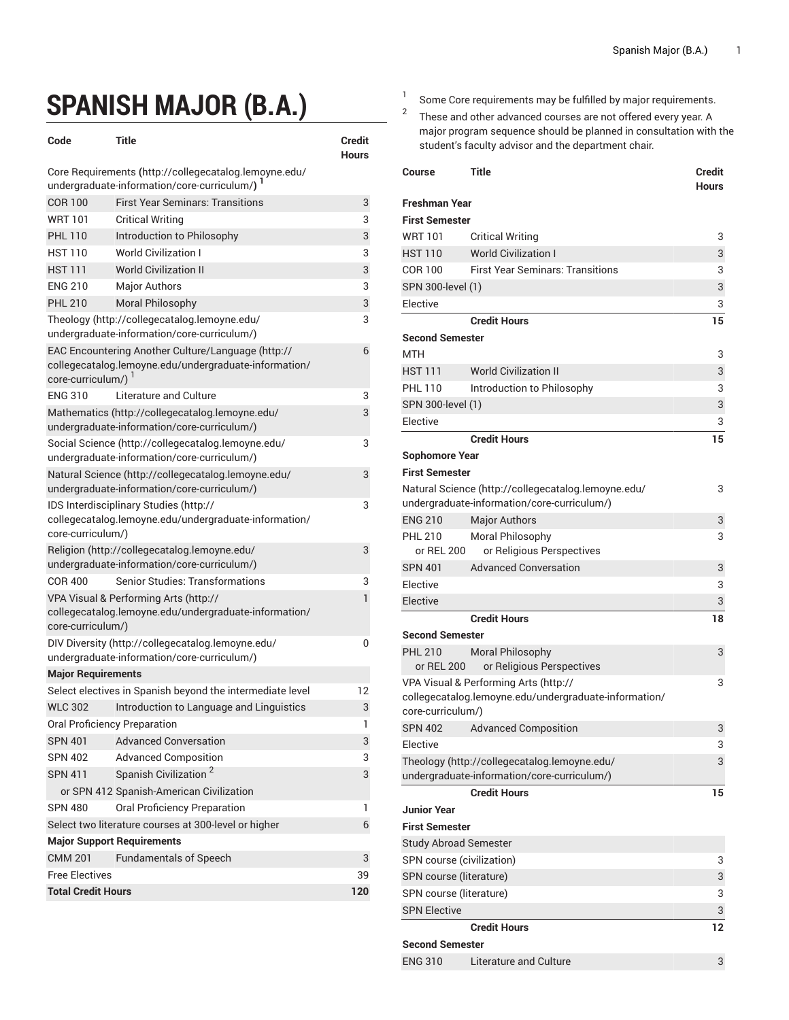## **SPANISH MAJOR (B.A.)**

| Code                                                                                                                             | Title                                                                                             | <b>Credit</b> |  |  |
|----------------------------------------------------------------------------------------------------------------------------------|---------------------------------------------------------------------------------------------------|---------------|--|--|
| <b>Hours</b><br>Core Requirements (http://collegecatalog.lemoyne.edu/                                                            |                                                                                                   |               |  |  |
| undergraduate-information/core-curriculum/) 1                                                                                    |                                                                                                   |               |  |  |
| <b>COR 100</b>                                                                                                                   | <b>First Year Seminars: Transitions</b>                                                           | 3             |  |  |
| <b>WRT 101</b>                                                                                                                   | <b>Critical Writing</b>                                                                           | 3             |  |  |
| <b>PHL 110</b>                                                                                                                   | Introduction to Philosophy                                                                        | 3             |  |  |
| <b>HST 110</b>                                                                                                                   | <b>World Civilization I</b>                                                                       | 3             |  |  |
| <b>HST 111</b>                                                                                                                   | <b>World Civilization II</b>                                                                      | 3             |  |  |
| <b>ENG 210</b>                                                                                                                   | <b>Major Authors</b>                                                                              | 3             |  |  |
| <b>PHL 210</b>                                                                                                                   | Moral Philosophy                                                                                  | 3             |  |  |
|                                                                                                                                  | Theology (http://collegecatalog.lemoyne.edu/                                                      | 3             |  |  |
|                                                                                                                                  | undergraduate-information/core-curriculum/)                                                       |               |  |  |
| EAC Encountering Another Culture/Language (http://<br>collegecatalog.lemoyne.edu/undergraduate-information/<br>core-curriculum/) | 6                                                                                                 |               |  |  |
| <b>ENG 310</b>                                                                                                                   | Literature and Culture                                                                            | 3             |  |  |
|                                                                                                                                  | Mathematics (http://collegecatalog.lemoyne.edu/<br>undergraduate-information/core-curriculum/)    | 3             |  |  |
|                                                                                                                                  | Social Science (http://collegecatalog.lemoyne.edu/<br>undergraduate-information/core-curriculum/) | 3             |  |  |
| Natural Science (http://collegecatalog.lemoyne.edu/<br>undergraduate-information/core-curriculum/)                               | 3                                                                                                 |               |  |  |
|                                                                                                                                  | IDS Interdisciplinary Studies (http://                                                            | 3             |  |  |
|                                                                                                                                  | collegecatalog.lemoyne.edu/undergraduate-information/                                             |               |  |  |
| core-curriculum/)                                                                                                                |                                                                                                   |               |  |  |
|                                                                                                                                  | Religion (http://collegecatalog.lemoyne.edu/                                                      | 3             |  |  |
|                                                                                                                                  | undergraduate-information/core-curriculum/)                                                       |               |  |  |
| <b>COR 400</b>                                                                                                                   | <b>Senior Studies: Transformations</b>                                                            | 3             |  |  |
| 1<br>VPA Visual & Performing Arts (http://<br>collegecatalog.lemoyne.edu/undergraduate-information/                              |                                                                                                   |               |  |  |
| core-curriculum/)                                                                                                                |                                                                                                   |               |  |  |
|                                                                                                                                  | DIV Diversity (http://collegecatalog.lemoyne.edu/                                                 | 0             |  |  |
|                                                                                                                                  | undergraduate-information/core-curriculum/)                                                       |               |  |  |
| <b>Major Requirements</b>                                                                                                        |                                                                                                   |               |  |  |
|                                                                                                                                  | Select electives in Spanish beyond the intermediate level                                         | 12            |  |  |
| WI C 302                                                                                                                         | Introduction to Language and Linguistics                                                          | 3             |  |  |
| Oral Proficiency Preparation                                                                                                     |                                                                                                   | 1             |  |  |
| <b>SPN 401</b>                                                                                                                   | <b>Advanced Conversation</b>                                                                      | 3             |  |  |
| <b>SPN 402</b>                                                                                                                   | <b>Advanced Composition</b>                                                                       | 3             |  |  |
| <b>SPN 411</b>                                                                                                                   | Spanish Civilization <sup>2</sup>                                                                 | 3             |  |  |
|                                                                                                                                  | or SPN 412 Spanish-American Civilization                                                          |               |  |  |
| <b>SPN 480</b>                                                                                                                   | Oral Proficiency Preparation                                                                      | 1             |  |  |
| Select two literature courses at 300-level or higher<br>6                                                                        |                                                                                                   |               |  |  |
| <b>Major Support Requirements</b>                                                                                                |                                                                                                   |               |  |  |
| <b>CMM 201</b>                                                                                                                   | <b>Fundamentals of Speech</b>                                                                     | 3             |  |  |
| <b>Free Electives</b>                                                                                                            |                                                                                                   |               |  |  |
| <b>Total Credit Hours</b>                                                                                                        |                                                                                                   |               |  |  |

1 Some Core requirements may be fulfilled by major requirements.

2 These and other advanced courses are not offered every year. A major program sequence should be planned in consultation with the student's faculty advisor and the department chair.

| Course                                                | Title                                                                                       | Credit<br><b>Hours</b> |  |
|-------------------------------------------------------|---------------------------------------------------------------------------------------------|------------------------|--|
| Freshman Year                                         |                                                                                             |                        |  |
| <b>First Semester</b>                                 |                                                                                             |                        |  |
| <b>WRT 101</b>                                        | <b>Critical Writing</b>                                                                     | 3                      |  |
| <b>HST 110</b>                                        | <b>World Civilization I</b>                                                                 | 3                      |  |
| COR 100                                               | <b>First Year Seminars: Transitions</b>                                                     | 3                      |  |
| SPN 300-level (1)                                     |                                                                                             | 3                      |  |
| Elective                                              |                                                                                             | 3                      |  |
|                                                       | <b>Credit Hours</b>                                                                         | 15                     |  |
| <b>Second Semester</b>                                |                                                                                             |                        |  |
| MTH                                                   |                                                                                             | 3                      |  |
| <b>HST 111</b>                                        | <b>World Civilization II</b>                                                                | 3                      |  |
| <b>PHL 110</b>                                        | Introduction to Philosophy                                                                  | 3                      |  |
| SPN 300-level (1)                                     |                                                                                             | 3                      |  |
| Elective                                              |                                                                                             | 3                      |  |
|                                                       | <b>Credit Hours</b>                                                                         | 15                     |  |
| <b>Sophomore Year</b>                                 |                                                                                             |                        |  |
| <b>First Semester</b>                                 |                                                                                             |                        |  |
|                                                       | Natural Science (http://collegecatalog.lemoyne.edu/                                         | 3                      |  |
|                                                       | undergraduate-information/core-curriculum/)                                                 |                        |  |
| <b>ENG 210</b>                                        | <b>Major Authors</b>                                                                        | 3                      |  |
| <b>PHL 210</b>                                        | Moral Philosophy                                                                            | 3                      |  |
| or REL 200                                            | or Religious Perspectives                                                                   |                        |  |
| <b>SPN 401</b>                                        | <b>Advanced Conversation</b>                                                                | 3                      |  |
| Elective                                              |                                                                                             | 3                      |  |
| Elective                                              |                                                                                             | 3                      |  |
|                                                       | <b>Credit Hours</b>                                                                         | 18                     |  |
| <b>Second Semester</b>                                |                                                                                             |                        |  |
| <b>PHL 210</b><br>or REL 200                          | <b>Moral Philosophy</b><br>or Religious Perspectives                                        | 3                      |  |
| VPA Visual & Performing Arts (http://<br>3            |                                                                                             |                        |  |
| collegecatalog.lemoyne.edu/undergraduate-information/ |                                                                                             |                        |  |
| core-curriculum/)                                     |                                                                                             |                        |  |
| <b>SPN 402</b>                                        | <b>Advanced Composition</b>                                                                 | 3                      |  |
| Elective                                              |                                                                                             | 3                      |  |
|                                                       | Theology (http://collegecatalog.lemoyne.edu/<br>undergraduate-information/core-curriculum/) | 3                      |  |
|                                                       | <b>Credit Hours</b>                                                                         | 15                     |  |
| <b>Junior Year</b>                                    |                                                                                             |                        |  |
| <b>First Semester</b>                                 |                                                                                             |                        |  |
|                                                       |                                                                                             |                        |  |
| <b>Study Abroad Semester</b>                          |                                                                                             | 3                      |  |
| SPN course (civilization)                             |                                                                                             | 3                      |  |
| SPN course (literature)<br>SPN course (literature)    |                                                                                             |                        |  |
| <b>SPN Elective</b>                                   |                                                                                             | 3<br>3                 |  |
|                                                       | <b>Credit Hours</b>                                                                         |                        |  |
| <b>Second Semester</b>                                |                                                                                             | 12                     |  |
| <b>ENG 310</b>                                        | Literature and Culture                                                                      | 3                      |  |
|                                                       |                                                                                             |                        |  |